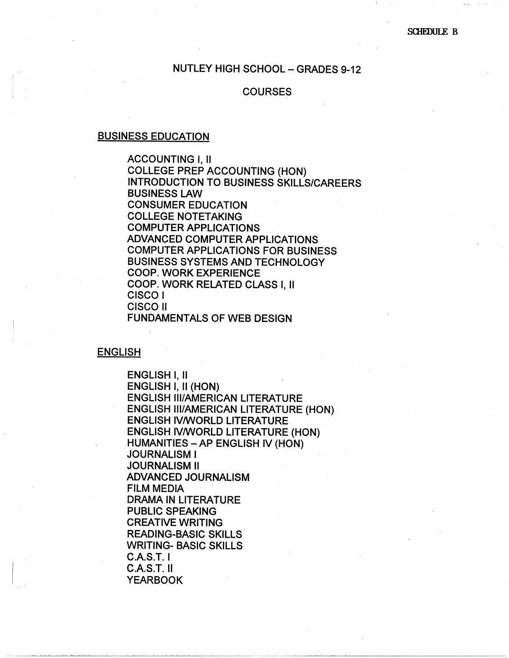# NUTLEY HIGH SCHOOL - GRADES 9-12

# **COURSES**

#### BUSINESS EDUCATION

ACCOUNTING l, II COLLEGE PREP ACCOUNTING {HON) INTRODUCTION TO BUSINESS SKILLS/CAREERS BUSINESS LAW CONSUMER EDUCATION COLLEGE NOTETAKING COMPUTER APPLICATIONS ADVANCED COMPUTER APPLICATIONS COMPUTER APPLICATIONS FOR BUSINESS BUSINESS SYSTEMS AND TECHNOLOGY COOP. WORK EXPERIENCE COOP. WORK RELATED CLASS I, II CISCO! CISCO II FUNDAMENTALS OF WEB DESIGN

**ENGLISH** 

ENGLISH I, II ENGLISH I, II (HON) ENGLISH Ill/AMERICAN LITERATURE ENGLISH Ill/AMERICAN LITERATURE (HON) ENGLISH IV/WORLD LITERATURE ENGLISH IV/WORLD LITERATURE (HON) HUMANITIES -AP ENGLISH IV (HON) JOURNALISM I JOURNALISM II ADVANCED JOURNALISM FILM MEDIA DRAMA IN LITERATURE PUBLIC SPEAKING CREATIVE WRITING READING-BASIC SKILLS WRITING- BASIC SKILLS C.A.S.T. I C.A.S.T. II YEARBOOK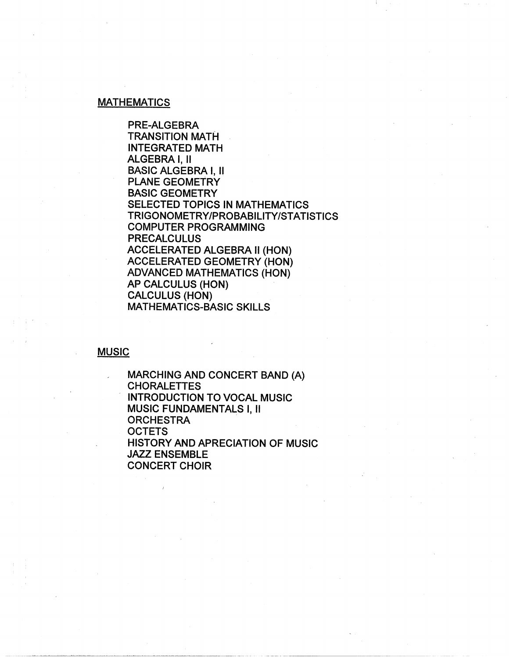### **MATHEMATICS**

PRE-ALGEBRA TRANSITION MATH INTEGRATED MATH ALGEBRA I, II BASIC ALGEBRA I, II PLANE GEOMETRY **BASIC** GEOMETRY SELECTED TOPICS IN MATHEMATICS TRIGONOMETRY/PROBABILITY/STATISTICS COMPUTER PROGRAMMING PRECALCULUS ACCELERATED ALGEBRA II (HON) ACCELERATED GEOMETRY (HON) ADVANCED MATHEMATICS (HON) AP CALCULUS (HON) CALCULUS (HON) MATHEMATICS-BASIC SKILLS

#### **MUSIC**

MARCHING AND CONCERT BAND (A) **CHORALETTES** , INTRODUCTION TO VOCAL MUSIC MUSIC FUNDAMENTALS I, II **ORCHESTRA OCTETS** HISTORY AND APRECIATION OF MUSIC JAZZ ENSEMBLE CONCERT CHOIR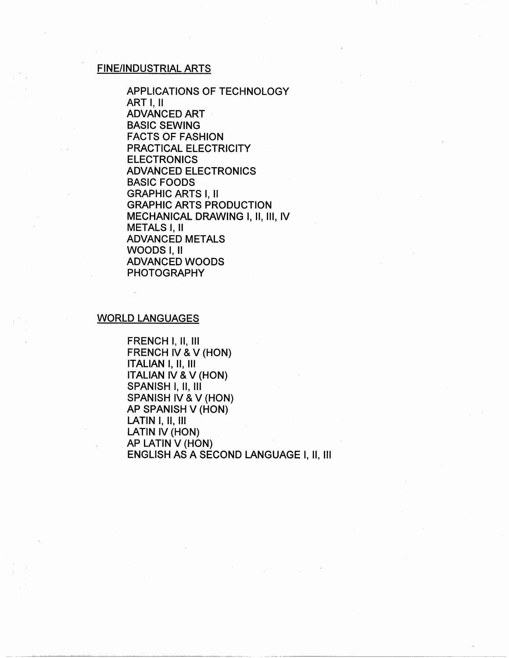# FINE/INDUSTRIAL ARTS

APPLICATIONS OF TECHNOLOGY ART I, II ADVANCED ART · BASIC SEWING FACTS OF FASHION PRACTICAL ELECTRICITY ELECTRONICS ADVANCED ELECTRONICS BASIC FOODS GRAPHIC ARTS I, II GRAPHIC ARTS PRODUCTION MECHANICAL DRAWING I, II, III, IV METALS I, II ADVANCED METALS WOODS I, II ADVANCED WOODS PHOTOGRAPHY

#### WORLD LANGUAGES

FRENCH I, II, Ill FRENCH IV & V (HON) ITALIAN I, II, Ill ITALIAN IV & V (HON) SPANISH I, II, III SPANISH IV & V (HON) AP SPANISH V (HON) LATIN I, II, Ill LATIN IV (HON) AP LATIN V (HON) ENGLISH AS A SECOND LANGUAGE I, II, Ill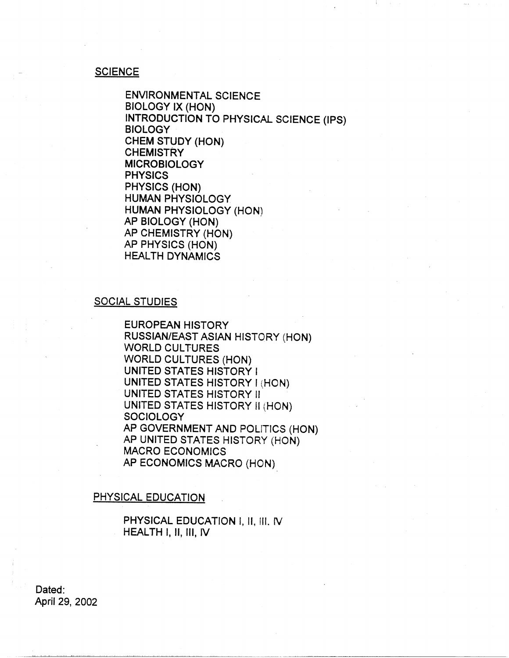#### **SCIENCE**

ENVIRONMENTAL SCIENCE BIOLOGY IX (HON) INTRODUCTION TO PHYSICAL SCIENCE (IPS) **BIOLOGY** CHEM STUDY (HON) **CHEMISTRY** MICROBIOLOGY PHYSICS PHYSICS (HON) HUMAN PHYSIOLOGY HUMAN PHYSIOLOGY (HON) AP BIOLOGY (HON) AP CHEMISTRY (HON) AP PHYSICS (HON) HEALTH DYNAMICS

### SOCIAL STUDIES

EUROPEAN HISTORY RUSSIAN/EAST ASIAN HISTORY (HON) WORLD CULTURES WORLD CULTURES (HON) UNITED STATES HISTORY I UNITED STATES HISTORY I (HON) UNITED STATES HISTORY II UNITED STATES HISTORY II {HON) **SOCIOLOGY** AP GOVERNMENT AND POLlTICS (HON) AP UNITED STATES HISTORY (HON) MACRO ECONOMICS AP ECONOMICS MACRO (HON)

#### PHYSICAL EDUCATION

PHYSICAL EDUCATION I, II, !II. *N*  HEAL TH I, 11, Ill, *N* 

Dated: April 29, 2002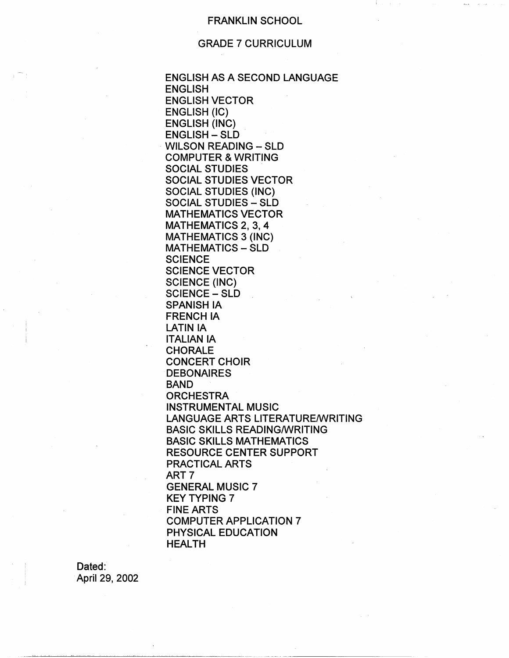### FRANKLIN SCHOOL

# GRADE 7 CURRICULUM

ENGLISH AS A SECOND LANGUAGE ENGLISH ENGLISH VECTOR ENGLISH (IC) ENGLISH (INC) ENGLISH - SLD WILSON READING - SLD COMPUTER & WRITING SOCIAL STUDIES SOCIAL STUDIES VECTOR SOCIAL STUDIES (INC) SOCIAL STUDIES - SLD MATHEMATICS VECTOR MATHEMATICS 2, 3, 4 MATHEMATICS 3 (INC) MATHEMATICS - SLD **SCIENCE** SCIENCE VECTOR SCIENCE (INC) SCIENCE - SLD SPANISH IA FRENCH IA LATIN IA ITALIAN IA CHORALE CONCERT CHOIR **DEBONAIRES** BAND **ORCHESTRA** INSTRUMENTAL MUSIC LANGUAGE ARTS LITERATURE/WRITING BASIC SKILLS READING/WRITING BASIC SKILLS MATHEMATICS RESOURCE CENTER SUPPORT PRACTICAL ARTS ART? GENERAL MUSIC 7 KEY TYPING 7 FINE ARTS COMPUTER APPLICATION 7 PHYSICAL EDUCATION HEALTH

Dated: April 29, 2002

~~~~~~~~~~~~~- ----···-······---··-··-··------------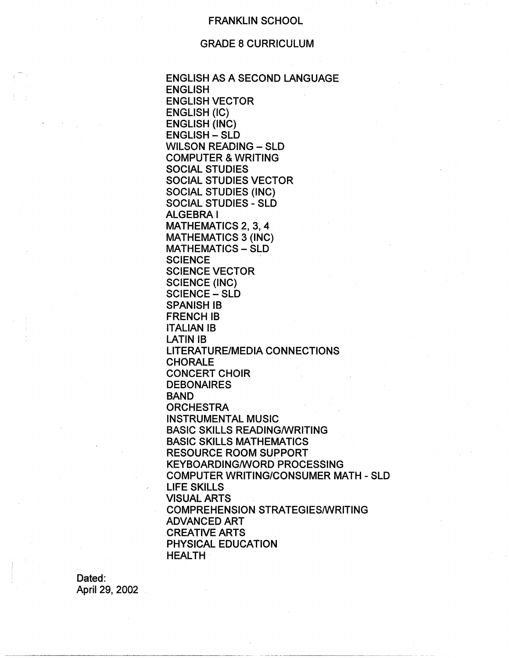#### FRANKLIN SCHOOL

### GRADE 8 CURRICULUM

ENGLISH AS A SECOND LANGUAGE ENGLISH ENGLISH VECTOR ENGLISH (IC) ENGLISH (INC) ENGLISH - SLD WILSON READING - SLD COMPUTER & WRITING SOCIAL STUDIES SOCIAL STUDIES VECTOR SOCIAL STUDIES (INC) SOCIAL STUDIES - SLD ALGEBRA! MATHEMATICS 2, 3, 4 MATHEMATICS 3 (INC) MATHEMATICS - SLD **SCIENCE SCIENCE VECTOR** SCIENCE (INC) SCIENCE - SLD SPANISH IB **FRENCH IB** ITALIAN 18 LATIN IB LITERATURE/MEDIA CONNECTIONS CHORALE CONCERT CHOIR **DEBONAIRES** BAND **ORCHESTRA** INSTRUMENTAL MUSIC BASIC SKILLS READING/WRITING BASIC SKILLS MATHEMATICS RESOURCE ROOM SUPPORT KEYBOARDING/WORD PROCESSING COMPUTER WRITING/CONSUMER MATH - SLD LIFE SKILLS VISUAL ARTS COMPREHENSION STRATEGIES/WRITING ADVANCED ART CREATIVE ARTS PHYSICAL EDUCATION HEALTH

Dated: April 29, 2002

.~~~~~~-~-~---~----·--------···